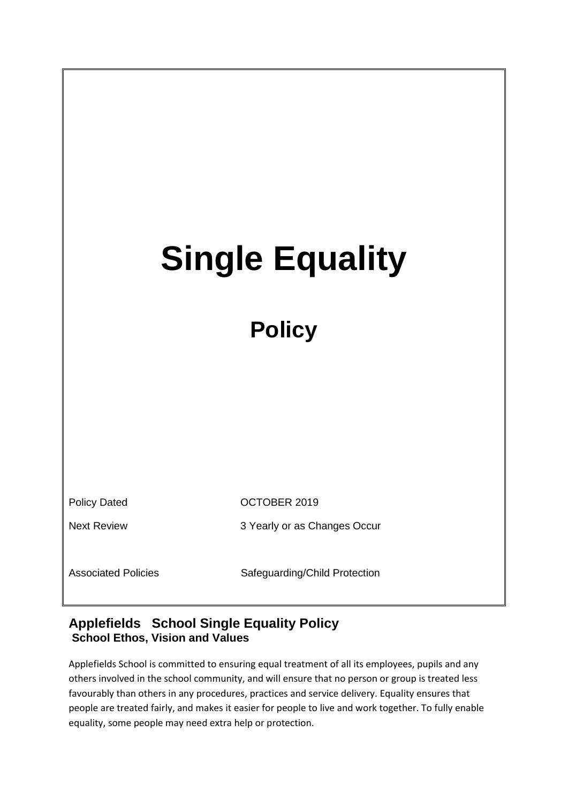| <b>Single Equality</b>     |                               |  |
|----------------------------|-------------------------------|--|
|                            |                               |  |
| <b>Policy</b>              |                               |  |
|                            |                               |  |
|                            |                               |  |
|                            |                               |  |
|                            |                               |  |
| <b>Policy Dated</b>        | OCTOBER 2019                  |  |
| <b>Next Review</b>         | 3 Yearly or as Changes Occur  |  |
| <b>Associated Policies</b> | Safeguarding/Child Protection |  |

## **Applefields School Single Equality Policy School Ethos, Vision and Values**

Applefields School is committed to ensuring equal treatment of all its employees, pupils and any others involved in the school community, and will ensure that no person or group is treated less favourably than others in any procedures, practices and service delivery. Equality ensures that people are treated fairly, and makes it easier for people to live and work together. To fully enable equality, some people may need extra help or protection.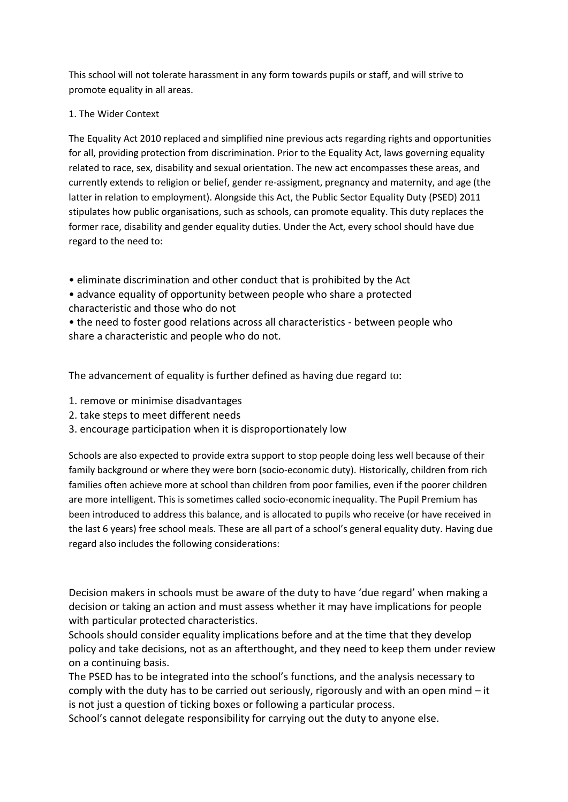This school will not tolerate harassment in any form towards pupils or staff, and will strive to promote equality in all areas.

#### 1. The Wider Context

The Equality Act 2010 replaced and simplified nine previous acts regarding rights and opportunities for all, providing protection from discrimination. Prior to the Equality Act, laws governing equality related to race, sex, disability and sexual orientation. The new act encompasses these areas, and currently extends to religion or belief, gender re-assigment, pregnancy and maternity, and age (the latter in relation to employment). Alongside this Act, the Public Sector Equality Duty (PSED) 2011 stipulates how public organisations, such as schools, can promote equality. This duty replaces the former race, disability and gender equality duties. Under the Act, every school should have due regard to the need to:

• eliminate discrimination and other conduct that is prohibited by the Act

• advance equality of opportunity between people who share a protected characteristic and those who do not

• the need to foster good relations across all characteristics - between people who share a characteristic and people who do not.

The advancement of equality is further defined as having due regard to:

- 1. remove or minimise disadvantages
- 2. take steps to meet different needs
- 3. encourage participation when it is disproportionately low

Schools are also expected to provide extra support to stop people doing less well because of their family background or where they were born (socio-economic duty). Historically, children from rich families often achieve more at school than children from poor families, even if the poorer children are more intelligent. This is sometimes called socio-economic inequality. The Pupil Premium has been introduced to address this balance, and is allocated to pupils who receive (or have received in the last 6 years) free school meals. These are all part of a school's general equality duty. Having due regard also includes the following considerations:

Decision makers in schools must be aware of the duty to have 'due regard' when making a decision or taking an action and must assess whether it may have implications for people with particular protected characteristics.

Schools should consider equality implications before and at the time that they develop policy and take decisions, not as an afterthought, and they need to keep them under review on a continuing basis.

The PSED has to be integrated into the school's functions, and the analysis necessary to comply with the duty has to be carried out seriously, rigorously and with an open mind – it is not just a question of ticking boxes or following a particular process.

School's cannot delegate responsibility for carrying out the duty to anyone else.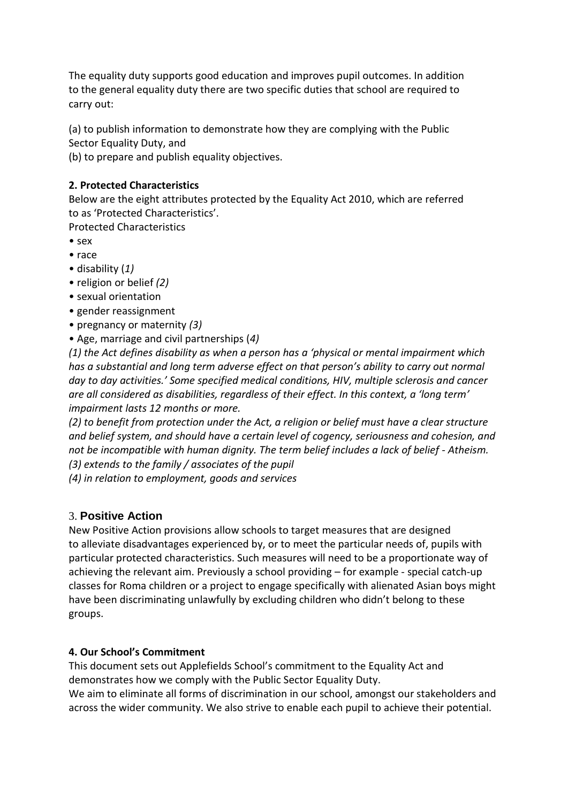The equality duty supports good education and improves pupil outcomes. In addition to the general equality duty there are two specific duties that school are required to carry out:

(a) to publish information to demonstrate how they are complying with the Public Sector Equality Duty, and

(b) to prepare and publish equality objectives.

#### **2. Protected Characteristics**

Below are the eight attributes protected by the Equality Act 2010, which are referred to as 'Protected Characteristics'.

Protected Characteristics

- sex
- race
- disability (*1)*
- religion or belief *(2)*
- sexual orientation
- gender reassignment
- pregnancy or maternity *(3)*
- Age, marriage and civil partnerships (*4)*

*(1) the Act defines disability as when a person has a 'physical or mental impairment which has a substantial and long term adverse effect on that person's ability to carry out normal day to day activities.' Some specified medical conditions, HIV, multiple sclerosis and cancer are all considered as disabilities, regardless of their effect. In this context, a 'long term' impairment lasts 12 months or more.*

*(2) to benefit from protection under the Act, a religion or belief must have a clear structure and belief system, and should have a certain level of cogency, seriousness and cohesion, and not be incompatible with human dignity. The term belief includes a lack of belief - Atheism. (3) extends to the family / associates of the pupil*

*(4) in relation to employment, goods and services*

## 3. **Positive Action**

New Positive Action provisions allow schools to target measures that are designed to alleviate disadvantages experienced by, or to meet the particular needs of, pupils with particular protected characteristics. Such measures will need to be a proportionate way of achieving the relevant aim. Previously a school providing – for example - special catch-up classes for Roma children or a project to engage specifically with alienated Asian boys might have been discriminating unlawfully by excluding children who didn't belong to these groups.

## **4. Our School's Commitment**

This document sets out Applefields School's commitment to the Equality Act and demonstrates how we comply with the Public Sector Equality Duty. We aim to eliminate all forms of discrimination in our school, amongst our stakeholders and

across the wider community. We also strive to enable each pupil to achieve their potential.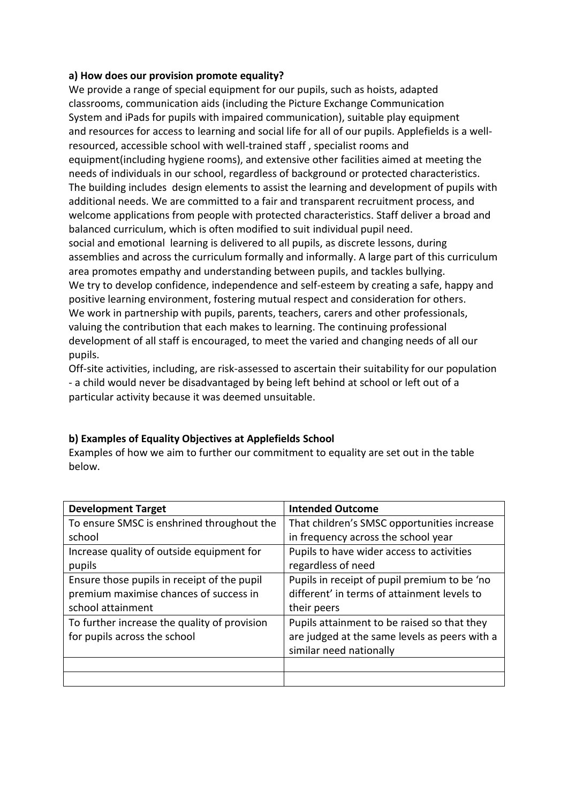#### **a) How does our provision promote equality?**

We provide a range of special equipment for our pupils, such as hoists, adapted classrooms, communication aids (including the Picture Exchange Communication System and iPads for pupils with impaired communication), suitable play equipment and resources for access to learning and social life for all of our pupils. Applefields is a wellresourced, accessible school with well-trained staff , specialist rooms and equipment(including hygiene rooms), and extensive other facilities aimed at meeting the needs of individuals in our school, regardless of background or protected characteristics. The building includes design elements to assist the learning and development of pupils with additional needs. We are committed to a fair and transparent recruitment process, and welcome applications from people with protected characteristics. Staff deliver a broad and balanced curriculum, which is often modified to suit individual pupil need. social and emotional learning is delivered to all pupils, as discrete lessons, during assemblies and across the curriculum formally and informally. A large part of this curriculum area promotes empathy and understanding between pupils, and tackles bullying. We try to develop confidence, independence and self-esteem by creating a safe, happy and positive learning environment, fostering mutual respect and consideration for others. We work in partnership with pupils, parents, teachers, carers and other professionals, valuing the contribution that each makes to learning. The continuing professional development of all staff is encouraged, to meet the varied and changing needs of all our pupils.

Off-site activities, including, are risk-assessed to ascertain their suitability for our population - a child would never be disadvantaged by being left behind at school or left out of a particular activity because it was deemed unsuitable.

# **b) Examples of Equality Objectives at Applefields School**

Examples of how we aim to further our commitment to equality are set out in the table below.

| <b>Development Target</b>                    | <b>Intended Outcome</b>                       |
|----------------------------------------------|-----------------------------------------------|
| To ensure SMSC is enshrined throughout the   | That children's SMSC opportunities increase   |
| school                                       | in frequency across the school year           |
| Increase quality of outside equipment for    | Pupils to have wider access to activities     |
| pupils                                       | regardless of need                            |
| Ensure those pupils in receipt of the pupil  | Pupils in receipt of pupil premium to be 'no  |
| premium maximise chances of success in       | different' in terms of attainment levels to   |
| school attainment                            | their peers                                   |
| To further increase the quality of provision | Pupils attainment to be raised so that they   |
| for pupils across the school                 | are judged at the same levels as peers with a |
|                                              | similar need nationally                       |
|                                              |                                               |
|                                              |                                               |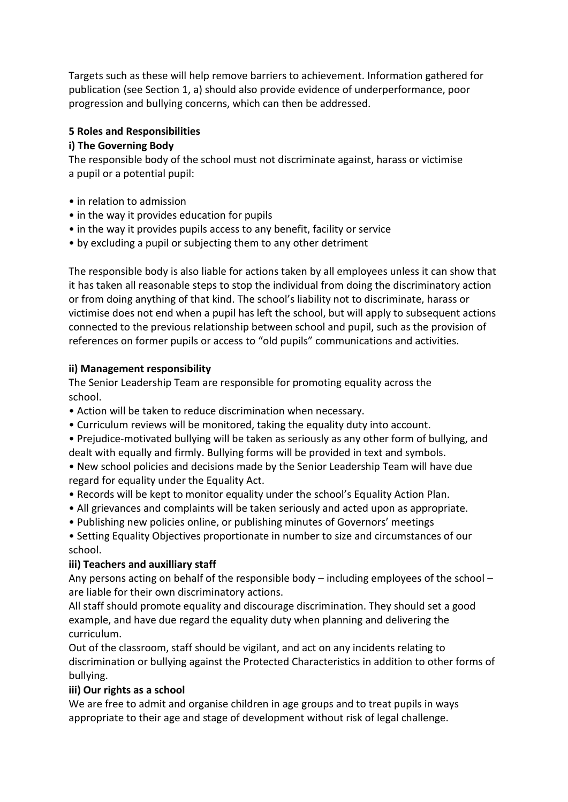Targets such as these will help remove barriers to achievement. Information gathered for publication (see Section 1, a) should also provide evidence of underperformance, poor progression and bullying concerns, which can then be addressed.

#### **5 Roles and Responsibilities**

#### **i) The Governing Body**

The responsible body of the school must not discriminate against, harass or victimise a pupil or a potential pupil:

- in relation to admission
- in the way it provides education for pupils
- in the way it provides pupils access to any benefit, facility or service
- by excluding a pupil or subjecting them to any other detriment

The responsible body is also liable for actions taken by all employees unless it can show that it has taken all reasonable steps to stop the individual from doing the discriminatory action or from doing anything of that kind. The school's liability not to discriminate, harass or victimise does not end when a pupil has left the school, but will apply to subsequent actions connected to the previous relationship between school and pupil, such as the provision of references on former pupils or access to "old pupils" communications and activities.

#### **ii) Management responsibility**

The Senior Leadership Team are responsible for promoting equality across the school.

- Action will be taken to reduce discrimination when necessary.
- Curriculum reviews will be monitored, taking the equality duty into account.
- Prejudice-motivated bullying will be taken as seriously as any other form of bullying, and dealt with equally and firmly. Bullying forms will be provided in text and symbols.

• New school policies and decisions made by the Senior Leadership Team will have due regard for equality under the Equality Act.

- Records will be kept to monitor equality under the school's Equality Action Plan.
- All grievances and complaints will be taken seriously and acted upon as appropriate.
- Publishing new policies online, or publishing minutes of Governors' meetings

• Setting Equality Objectives proportionate in number to size and circumstances of our school.

## **iii) Teachers and auxilliary staff**

Any persons acting on behalf of the responsible body – including employees of the school – are liable for their own discriminatory actions.

All staff should promote equality and discourage discrimination. They should set a good example, and have due regard the equality duty when planning and delivering the curriculum.

Out of the classroom, staff should be vigilant, and act on any incidents relating to discrimination or bullying against the Protected Characteristics in addition to other forms of bullying.

## **iii) Our rights as a school**

We are free to admit and organise children in age groups and to treat pupils in ways appropriate to their age and stage of development without risk of legal challenge.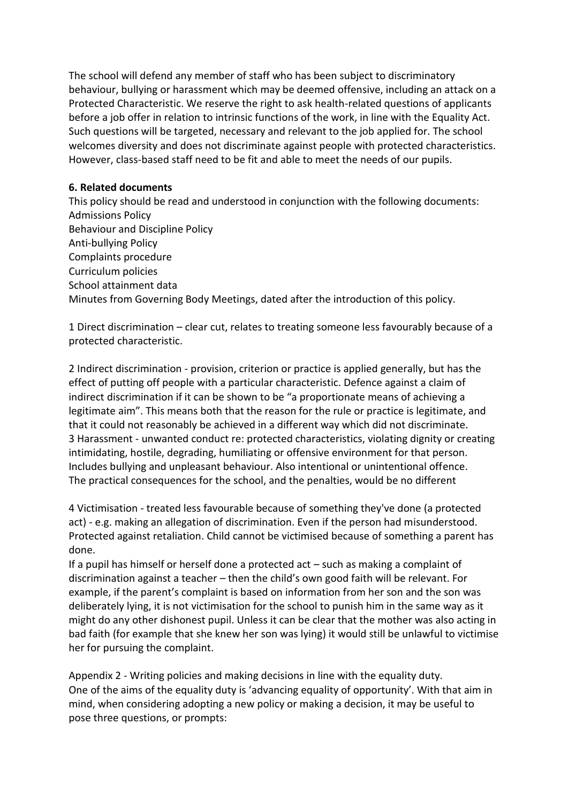The school will defend any member of staff who has been subject to discriminatory behaviour, bullying or harassment which may be deemed offensive, including an attack on a Protected Characteristic. We reserve the right to ask health-related questions of applicants before a job offer in relation to intrinsic functions of the work, in line with the Equality Act. Such questions will be targeted, necessary and relevant to the job applied for. The school welcomes diversity and does not discriminate against people with protected characteristics. However, class-based staff need to be fit and able to meet the needs of our pupils.

#### **6. Related documents**

This policy should be read and understood in conjunction with the following documents: Admissions Policy Behaviour and Discipline Policy Anti-bullying Policy Complaints procedure Curriculum policies School attainment data Minutes from Governing Body Meetings, dated after the introduction of this policy.

1 Direct discrimination – clear cut, relates to treating someone less favourably because of a protected characteristic.

2 Indirect discrimination - provision, criterion or practice is applied generally, but has the effect of putting off people with a particular characteristic. Defence against a claim of indirect discrimination if it can be shown to be "a proportionate means of achieving a legitimate aim". This means both that the reason for the rule or practice is legitimate, and that it could not reasonably be achieved in a different way which did not discriminate. 3 Harassment - unwanted conduct re: protected characteristics, violating dignity or creating intimidating, hostile, degrading, humiliating or offensive environment for that person. Includes bullying and unpleasant behaviour. Also intentional or unintentional offence. The practical consequences for the school, and the penalties, would be no different

4 Victimisation - treated less favourable because of something they've done (a protected act) - e.g. making an allegation of discrimination. Even if the person had misunderstood. Protected against retaliation. Child cannot be victimised because of something a parent has done.

If a pupil has himself or herself done a protected act – such as making a complaint of discrimination against a teacher – then the child's own good faith will be relevant. For example, if the parent's complaint is based on information from her son and the son was deliberately lying, it is not victimisation for the school to punish him in the same way as it might do any other dishonest pupil. Unless it can be clear that the mother was also acting in bad faith (for example that she knew her son was lying) it would still be unlawful to victimise her for pursuing the complaint.

Appendix 2 - Writing policies and making decisions in line with the equality duty. One of the aims of the equality duty is 'advancing equality of opportunity'. With that aim in mind, when considering adopting a new policy or making a decision, it may be useful to pose three questions, or prompts: